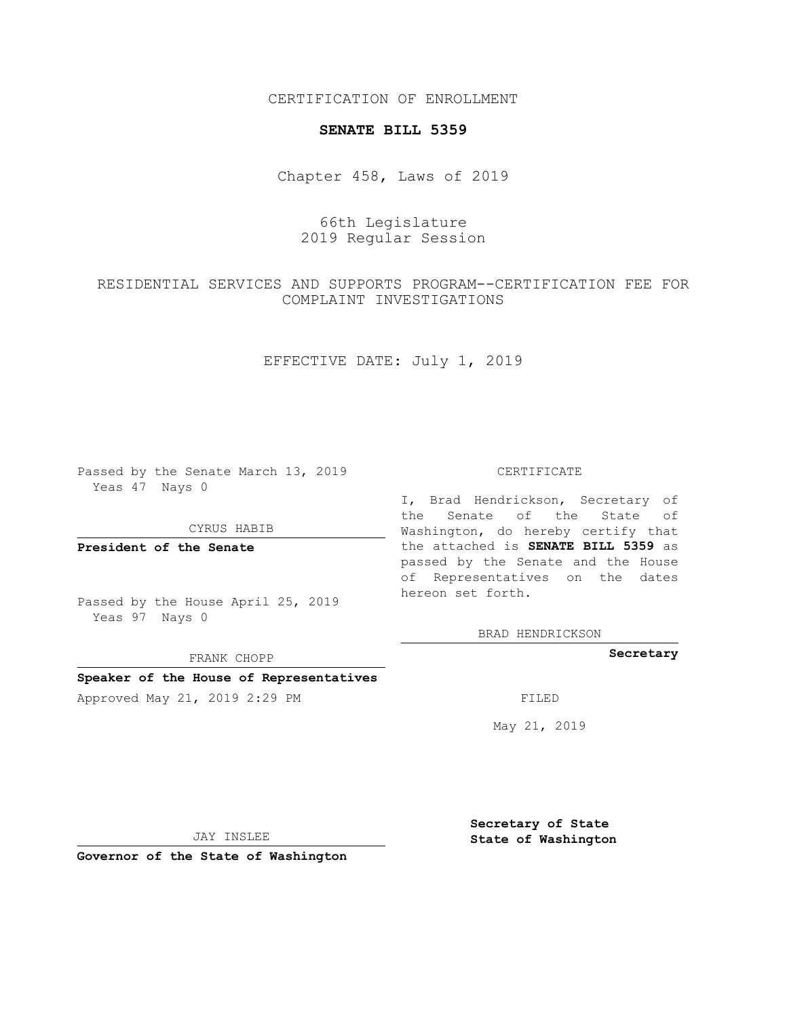CERTIFICATION OF ENROLLMENT

### **SENATE BILL 5359**

Chapter 458, Laws of 2019

# 66th Legislature 2019 Regular Session

# RESIDENTIAL SERVICES AND SUPPORTS PROGRAM--CERTIFICATION FEE FOR COMPLAINT INVESTIGATIONS

# EFFECTIVE DATE: July 1, 2019

Passed by the Senate March 13, 2019 Yeas 47 Nays 0

CYRUS HABIB

**President of the Senate**

Passed by the House April 25, 2019 Yeas 97 Nays 0

FRANK CHOPP

#### **Speaker of the House of Representatives**

Approved May 21, 2019 2:29 PM FILED

#### CERTIFICATE

I, Brad Hendrickson, Secretary of the Senate of the State of Washington, do hereby certify that the attached is **SENATE BILL 5359** as passed by the Senate and the House of Representatives on the dates hereon set forth.

BRAD HENDRICKSON

#### **Secretary**

May 21, 2019

JAY INSLEE

**Governor of the State of Washington**

**Secretary of State State of Washington**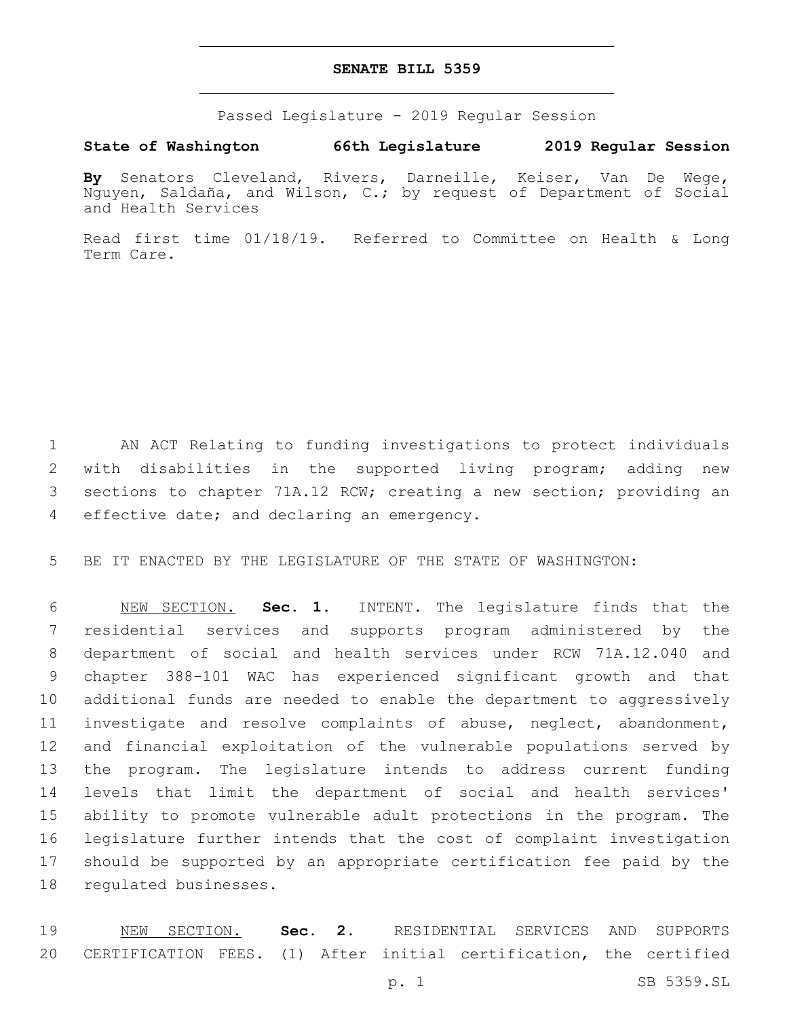### **SENATE BILL 5359**

Passed Legislature - 2019 Regular Session

### **State of Washington 66th Legislature 2019 Regular Session**

**By** Senators Cleveland, Rivers, Darneille, Keiser, Van De Wege, Nguyen, Saldaña, and Wilson, C.; by request of Department of Social and Health Services

Read first time 01/18/19. Referred to Committee on Health & Long Term Care.

 AN ACT Relating to funding investigations to protect individuals with disabilities in the supported living program; adding new sections to chapter 71A.12 RCW; creating a new section; providing an 4 effective date; and declaring an emergency.

BE IT ENACTED BY THE LEGISLATURE OF THE STATE OF WASHINGTON:

 NEW SECTION. **Sec. 1.** INTENT. The legislature finds that the residential services and supports program administered by the department of social and health services under RCW 71A.12.040 and chapter 388-101 WAC has experienced significant growth and that additional funds are needed to enable the department to aggressively investigate and resolve complaints of abuse, neglect, abandonment, and financial exploitation of the vulnerable populations served by the program. The legislature intends to address current funding levels that limit the department of social and health services' ability to promote vulnerable adult protections in the program. The legislature further intends that the cost of complaint investigation should be supported by an appropriate certification fee paid by the regulated businesses.

 NEW SECTION. **Sec. 2.** RESIDENTIAL SERVICES AND SUPPORTS CERTIFICATION FEES. (1) After initial certification, the certified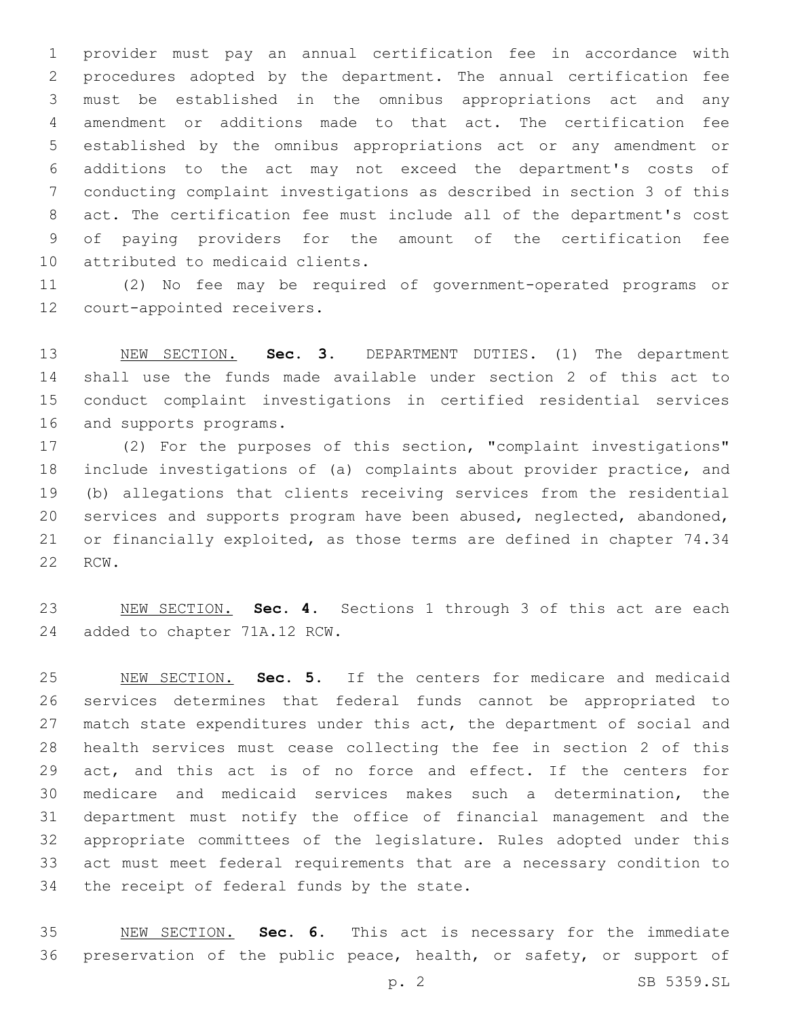provider must pay an annual certification fee in accordance with procedures adopted by the department. The annual certification fee must be established in the omnibus appropriations act and any amendment or additions made to that act. The certification fee established by the omnibus appropriations act or any amendment or additions to the act may not exceed the department's costs of conducting complaint investigations as described in section 3 of this act. The certification fee must include all of the department's cost of paying providers for the amount of the certification fee 10 attributed to medicaid clients.

 (2) No fee may be required of government-operated programs or 12 court-appointed receivers.

 NEW SECTION. **Sec. 3.** DEPARTMENT DUTIES. (1) The department shall use the funds made available under section 2 of this act to conduct complaint investigations in certified residential services and supports programs.

 (2) For the purposes of this section, "complaint investigations" include investigations of (a) complaints about provider practice, and (b) allegations that clients receiving services from the residential services and supports program have been abused, neglected, abandoned, or financially exploited, as those terms are defined in chapter 74.34 22 RCW.

 NEW SECTION. **Sec. 4.** Sections 1 through 3 of this act are each added to chapter 71A.12 RCW.

 NEW SECTION. **Sec. 5.** If the centers for medicare and medicaid services determines that federal funds cannot be appropriated to 27 match state expenditures under this act, the department of social and health services must cease collecting the fee in section 2 of this act, and this act is of no force and effect. If the centers for medicare and medicaid services makes such a determination, the department must notify the office of financial management and the appropriate committees of the legislature. Rules adopted under this act must meet federal requirements that are a necessary condition to the receipt of federal funds by the state.

 NEW SECTION. **Sec. 6.** This act is necessary for the immediate 36 preservation of the public peace, health, or safety, or support of

p. 2 SB 5359.SL